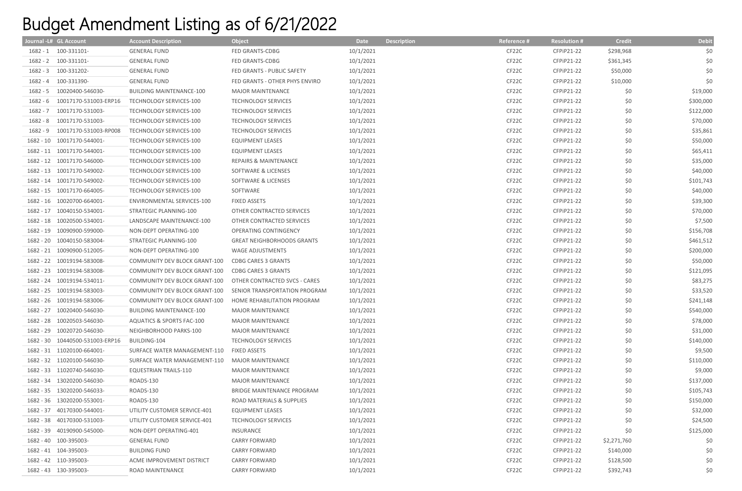## Budget Amendment Listing as of 6/21/2022

|          | Journal - L# GL Account         | <b>Account Description</b>           | <b>Object</b>                     | Date      | <b>Description</b> | Reference # | <b>Resolution #</b> | <b>Credit</b> | <b>Debit</b> |
|----------|---------------------------------|--------------------------------------|-----------------------------------|-----------|--------------------|-------------|---------------------|---------------|--------------|
|          | 1682 - 1 100-331101-            | <b>GENERAL FUND</b>                  | FED GRANTS-CDBG                   | 10/1/2021 |                    | CF22C       | CFPiP21-22          | \$298,968     | \$0          |
|          | 1682 - 2 100-331101-            | <b>GENERAL FUND</b>                  | FED GRANTS-CDBG                   | 10/1/2021 |                    | CF22C       | CFPiP21-22          | \$361,345     | \$0          |
|          | 1682 - 3 100-331202-            | <b>GENERAL FUND</b>                  | FED GRANTS - PUBLIC SAFETY        | 10/1/2021 |                    | CF22C       | CFPiP21-22          | \$50,000      | \$0          |
|          | 1682 - 4 100-331390-            | <b>GENERAL FUND</b>                  | FED GRANTS - OTHER PHYS ENVIRO    | 10/1/2021 |                    | CF22C       | CFPiP21-22          | \$10,000      | \$0          |
| 1682 - 5 | 10020400-546030-                | <b>BUILDING MAINTENANCE-100</b>      | <b>MAJOR MAINTENANCE</b>          | 10/1/2021 |                    | CF22C       | CFPiP21-22          | \$0           | \$19,000     |
| 1682 - 6 | 10017170-531003-ERP16           | TECHNOLOGY SERVICES-100              | <b>TECHNOLOGY SERVICES</b>        | 10/1/2021 |                    | CF22C       | CFPiP21-22          | \$0           | \$300,000    |
| 1682 - 7 | 10017170-531003-                | TECHNOLOGY SERVICES-100              | <b>TECHNOLOGY SERVICES</b>        | 10/1/2021 |                    | CF22C       | CFPiP21-22          | \$0           | \$122,000    |
| 1682 - 8 | 10017170-531003-                | TECHNOLOGY SERVICES-100              | <b>TECHNOLOGY SERVICES</b>        | 10/1/2021 |                    | CF22C       | CFPiP21-22          | \$0           | \$70,000     |
| 1682 - 9 | 10017170-531003-RP008           | TECHNOLOGY SERVICES-100              | <b>TECHNOLOGY SERVICES</b>        | 10/1/2021 |                    | CF22C       | CFPiP21-22          | \$0           | \$35,861     |
|          | 1682 - 10 10017170-544001-      | TECHNOLOGY SERVICES-100              | <b>EQUIPMENT LEASES</b>           | 10/1/2021 |                    | CF22C       | CFPiP21-22          | \$0           | \$50,000     |
|          | 1682 - 11 10017170-544001-      | TECHNOLOGY SERVICES-100              | <b>EQUIPMENT LEASES</b>           | 10/1/2021 |                    | CF22C       | CFPiP21-22          | \$0           | \$65,411     |
|          | 1682 - 12 10017170-546000-      | TECHNOLOGY SERVICES-100              | <b>REPAIRS &amp; MAINTENANCE</b>  | 10/1/2021 |                    | CF22C       | CFPiP21-22          | \$0           | \$35,000     |
|          | 1682 - 13 10017170-549002-      | TECHNOLOGY SERVICES-100              | SOFTWARE & LICENSES               | 10/1/2021 |                    | CF22C       | CFPiP21-22          | \$0           | \$40,000     |
|          | 1682 - 14 10017170-549002-      | TECHNOLOGY SERVICES-100              | SOFTWARE & LICENSES               | 10/1/2021 |                    | CF22C       | CFPiP21-22          | \$0           | \$101,743    |
|          | 1682 - 15 10017170-664005-      | TECHNOLOGY SERVICES-100              | SOFTWARE                          | 10/1/2021 |                    | CF22C       | CFPiP21-22          | \$0           | \$40,000     |
|          | 1682 - 16 10020700-664001-      | ENVIRONMENTAL SERVICES-100           | <b>FIXED ASSETS</b>               | 10/1/2021 |                    | CF22C       | CFPiP21-22          | \$0           | \$39,300     |
|          | 1682 - 17 10040150-534001-      | STRATEGIC PLANNING-100               | OTHER CONTRACTED SERVICES         | 10/1/2021 |                    | CF22C       | CFPiP21-22          | \$0           | \$70,000     |
|          | 1682 - 18 10020500-534001-      | LANDSCAPE MAINTENANCE-100            | OTHER CONTRACTED SERVICES         | 10/1/2021 |                    | CF22C       | CFPiP21-22          | \$0           | \$7,500      |
|          | 1682 - 19 10090900-599000-      | NON-DEPT OPERATING-100               | OPERATING CONTINGENCY             | 10/1/2021 |                    | CF22C       | CFPiP21-22          | \$0           | \$156,708    |
|          | 1682 - 20 10040150-583004-      | STRATEGIC PLANNING-100               | <b>GREAT NEIGHBORHOODS GRANTS</b> | 10/1/2021 |                    | CF22C       | CFPiP21-22          | \$0           | \$461,512    |
|          | 1682 - 21 10090900-512005-      | NON-DEPT OPERATING-100               | WAGE ADJUSTMENTS                  | 10/1/2021 |                    | CF22C       | CFPiP21-22          | \$0           | \$200,000    |
|          | 1682 - 22 10019194-583008-      | <b>COMMUNITY DEV BLOCK GRANT-100</b> | <b>CDBG CARES 3 GRANTS</b>        | 10/1/2021 |                    | CF22C       | CFPiP21-22          | \$0           | \$50,000     |
|          | 1682 - 23 10019194-583008-      | COMMUNITY DEV BLOCK GRANT-100        | <b>CDBG CARES 3 GRANTS</b>        | 10/1/2021 |                    | CF22C       | CFPiP21-22          | \$0           | \$121,095    |
|          | 1682 - 24 10019194-534011-      | COMMUNITY DEV BLOCK GRANT-100        | OTHER CONTRACTED SVCS - CARES     | 10/1/2021 |                    | CF22C       | CFPiP21-22          | \$0           | \$83,275     |
|          | 1682 - 25 10019194-583003-      | COMMUNITY DEV BLOCK GRANT-100        | SENIOR TRANSPORTATION PROGRAM     | 10/1/2021 |                    | CF22C       | CFPiP21-22          | \$0           | \$33,520     |
|          | 1682 - 26 10019194-583006-      | <b>COMMUNITY DEV BLOCK GRANT-100</b> | HOME REHABILITATION PROGRAM       | 10/1/2021 |                    | CF22C       | CFPiP21-22          | \$0           | \$241,148    |
|          | 1682 - 27 10020400-546030-      | <b>BUILDING MAINTENANCE-100</b>      | <b>MAJOR MAINTENANCE</b>          | 10/1/2021 |                    | CF22C       | CFPiP21-22          | \$0           | \$540,000    |
|          | 1682 - 28 10020503-546030-      | AQUATICS & SPORTS FAC-100            | <b>MAJOR MAINTENANCE</b>          | 10/1/2021 |                    | CF22C       | CFPiP21-22          | \$0           | \$78,000     |
|          | 1682 - 29 10020720-546030-      | NEIGHBORHOOD PARKS-100               | <b>MAJOR MAINTENANCE</b>          | 10/1/2021 |                    | CF22C       | CFPiP21-22          | \$0           | \$31,000     |
|          | 1682 - 30 10440500-531003-ERP16 | <b>BUILDING-104</b>                  | <b>TECHNOLOGY SERVICES</b>        | 10/1/2021 |                    | CF22C       | CFPiP21-22          | \$0           | \$140,000    |
|          | 1682 - 31 11020100-664001-      | SURFACE WATER MANAGEMENT-110         | <b>FIXED ASSETS</b>               | 10/1/2021 |                    | CF22C       | CFPiP21-22          | \$0           | \$9,500      |
|          | 1682 - 32 11020100-546030-      | SURFACE WATER MANAGEMENT-110         | <b>MAJOR MAINTENANCE</b>          | 10/1/2021 |                    | CF22C       | CFPiP21-22          | \$0           | \$110,000    |
|          | 1682 - 33 11020740-546030-      | EQUESTRIAN TRAILS-110                | <b>MAJOR MAINTENANCE</b>          | 10/1/2021 |                    | CF22C       | CFPiP21-22          | \$0           | \$9,000      |
|          | 1682 - 34 13020200-546030-      | ROADS-130                            | <b>MAJOR MAINTENANCE</b>          | 10/1/2021 |                    | CF22C       | CFPiP21-22          | \$0           | \$137,000    |
|          | 1682 - 35 13020200-546033-      | ROADS-130                            | BRIDGE MAINTENANCE PROGRAM        | 10/1/2021 |                    | CF22C       | CFPiP21-22          | \$0           | \$105,743    |
|          | 1682 - 36 13020200-553001-      | ROADS-130                            | ROAD MATERIALS & SUPPLIES         | 10/1/2021 |                    | CF22C       | CFPiP21-22          | \$0           | \$150,000    |
|          | 1682 - 37 40170300-544001-      | UTILITY CUSTOMER SERVICE-401         | <b>EQUIPMENT LEASES</b>           | 10/1/2021 |                    | CF22C       | CFPiP21-22          | \$0           | \$32,000     |
|          | 1682 - 38 40170300-531003-      | UTILITY CUSTOMER SERVICE-401         | <b>TECHNOLOGY SERVICES</b>        | 10/1/2021 |                    | CF22C       | CFPiP21-22          | \$0           | \$24,500     |
|          | 1682 - 39 40190900-545000-      | NON-DEPT OPERATING-401               | INSURANCE                         | 10/1/2021 |                    | CF22C       | CFPiP21-22          | \$0           | \$125,000    |
|          | 1682 - 40 100-395003-           | <b>GENERAL FUND</b>                  | <b>CARRY FORWARD</b>              | 10/1/2021 |                    | CF22C       | CFPiP21-22          | \$2,271,760   | \$0          |
|          | 1682 - 41 104-395003-           | <b>BUILDING FUND</b>                 | <b>CARRY FORWARD</b>              | 10/1/2021 |                    | CF22C       | CFPiP21-22          | \$140,000     | \$0          |
|          | 1682 - 42 110-395003-           | ACME IMPROVEMENT DISTRICT            | <b>CARRY FORWARD</b>              | 10/1/2021 |                    | CF22C       | CFPiP21-22          | \$128,500     | \$0          |
|          | 1682 - 43 130-395003-           | ROAD MAINTENANCE                     | <b>CARRY FORWARD</b>              | 10/1/2021 |                    | CF22C       | CFPiP21-22          | \$392,743     | \$0          |
|          |                                 |                                      |                                   |           |                    |             |                     |               |              |